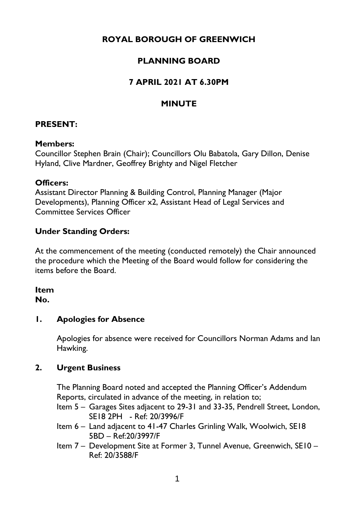# **ROYAL BOROUGH OF GREENWICH**

# **PLANNING BOARD**

# **7 APRIL 2021 AT 6.30PM**

# **MINUTE**

# **PRESENT:**

# **Members:**

Councillor Stephen Brain (Chair); Councillors Olu Babatola, Gary Dillon, Denise Hyland, Clive Mardner, Geoffrey Brighty and Nigel Fletcher

# **Officers:**

Assistant Director Planning & Building Control, Planning Manager (Major Developments), Planning Officer x2, Assistant Head of Legal Services and Committee Services Officer

# **Under Standing Orders:**

At the commencement of the meeting (conducted remotely) the Chair announced the procedure which the Meeting of the Board would follow for considering the items before the Board.

# **Item**

# **No.**

# **1. Apologies for Absence**

Apologies for absence were received for Councillors Norman Adams and Ian Hawking.

# **2. Urgent Business**

The Planning Board noted and accepted the Planning Officer's Addendum Reports, circulated in advance of the meeting, in relation to;

- Item 5 Garages Sites adjacent to 29-31 and 33-35, Pendrell Street, London, SE18 2PH - Ref: 20/3996/F
- Item 6 Land adjacent to 41-47 Charles Grinling Walk, Woolwich, SE18 5BD – Ref:20/3997/F
- Item 7 Development Site at Former 3, Tunnel Avenue, Greenwich, SE10 Ref: 20/3588/F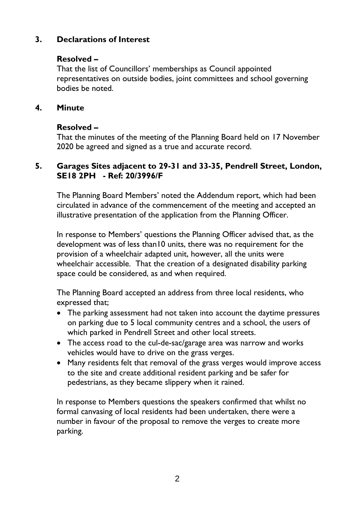# **3. Declarations of Interest**

# **Resolved –**

That the list of Councillors' memberships as Council appointed representatives on outside bodies, joint committees and school governing bodies be noted.

#### **4. Minute**

# **Resolved –**

That the minutes of the meeting of the Planning Board held on 17 November 2020 be agreed and signed as a true and accurate record.

#### **5. Garages Sites adjacent to 29-31 and 33-35, Pendrell Street, London, SE18 2PH - Ref: 20/3996/F**

The Planning Board Members' noted the Addendum report, which had been circulated in advance of the commencement of the meeting and accepted an illustrative presentation of the application from the Planning Officer.

In response to Members' questions the Planning Officer advised that, as the development was of less than10 units, there was no requirement for the provision of a wheelchair adapted unit, however, all the units were wheelchair accessible. That the creation of a designated disability parking space could be considered, as and when required.

The Planning Board accepted an address from three local residents, who expressed that;

- The parking assessment had not taken into account the daytime pressures on parking due to 5 local community centres and a school, the users of which parked in Pendrell Street and other local streets.
- The access road to the cul-de-sac/garage area was narrow and works vehicles would have to drive on the grass verges.
- Many residents felt that removal of the grass verges would improve access to the site and create additional resident parking and be safer for pedestrians, as they became slippery when it rained.

In response to Members questions the speakers confirmed that whilst no formal canvasing of local residents had been undertaken, there were a number in favour of the proposal to remove the verges to create more parking.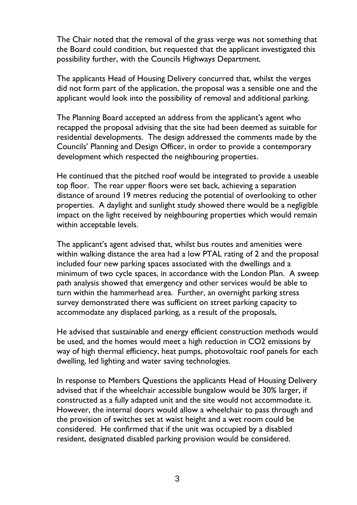The Chair noted that the removal of the grass verge was not something that the Board could condition, but requested that the applicant investigated this possibility further, with the Councils Highways Department.

The applicants Head of Housing Delivery concurred that, whilst the verges did not form part of the application, the proposal was a sensible one and the applicant would look into the possibility of removal and additional parking.

The Planning Board accepted an address from the applicant's agent who recapped the proposal advising that the site had been deemed as suitable for residential developments. The design addressed the comments made by the Councils' Planning and Design Officer, in order to provide a contemporary development which respected the neighbouring properties.

He continued that the pitched roof would be integrated to provide a useable top floor. The rear upper floors were set back, achieving a separation distance of around 19 metres reducing the potential of overlooking to other properties. A daylight and sunlight study showed there would be a negligible impact on the light received by neighbouring properties which would remain within acceptable levels.

The applicant's agent advised that, whilst bus routes and amenities were within walking distance the area had a low PTAL rating of 2 and the proposal included four new parking spaces associated with the dwellings and a minimum of two cycle spaces, in accordance with the London Plan. A sweep path analysis showed that emergency and other services would be able to turn within the hammerhead area. Further, an overnight parking stress survey demonstrated there was sufficient on street parking capacity to accommodate any displaced parking, as a result of the proposals,

He advised that sustainable and energy efficient construction methods would be used, and the homes would meet a high reduction in CO2 emissions by way of high thermal efficiency, heat pumps, photovoltaic roof panels for each dwelling, led lighting and water saving technologies.

In response to Members Questions the applicants Head of Housing Delivery advised that if the wheelchair accessible bungalow would be 30% larger, if constructed as a fully adapted unit and the site would not accommodate it. However, the internal doors would allow a wheelchair to pass through and the provision of switches set at waist height and a wet room could be considered. He confirmed that if the unit was occupied by a disabled resident, designated disabled parking provision would be considered.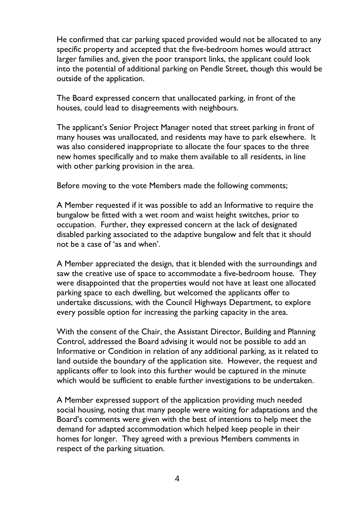He confirmed that car parking spaced provided would not be allocated to any specific property and accepted that the five-bedroom homes would attract larger families and, given the poor transport links, the applicant could look into the potential of additional parking on Pendle Street, though this would be outside of the application.

The Board expressed concern that unallocated parking, in front of the houses, could lead to disagreements with neighbours.

The applicant's Senior Project Manager noted that street parking in front of many houses was unallocated, and residents may have to park elsewhere. It was also considered inappropriate to allocate the four spaces to the three new homes specifically and to make them available to all residents, in line with other parking provision in the area.

Before moving to the vote Members made the following comments;

A Member requested if it was possible to add an Informative to require the bungalow be fitted with a wet room and waist height switches, prior to occupation. Further, they expressed concern at the lack of designated disabled parking associated to the adaptive bungalow and felt that it should not be a case of 'as and when'.

A Member appreciated the design, that it blended with the surroundings and saw the creative use of space to accommodate a five-bedroom house. They were disappointed that the properties would not have at least one allocated parking space to each dwelling, but welcomed the applicants offer to undertake discussions, with the Council Highways Department, to explore every possible option for increasing the parking capacity in the area.

With the consent of the Chair, the Assistant Director, Building and Planning Control, addressed the Board advising it would not be possible to add an Informative or Condition in relation of any additional parking, as it related to land outside the boundary of the application site. However, the request and applicants offer to look into this further would be captured in the minute which would be sufficient to enable further investigations to be undertaken.

A Member expressed support of the application providing much needed social housing, noting that many people were waiting for adaptations and the Board's comments were given with the best of intentions to help meet the demand for adapted accommodation which helped keep people in their homes for longer. They agreed with a previous Members comments in respect of the parking situation.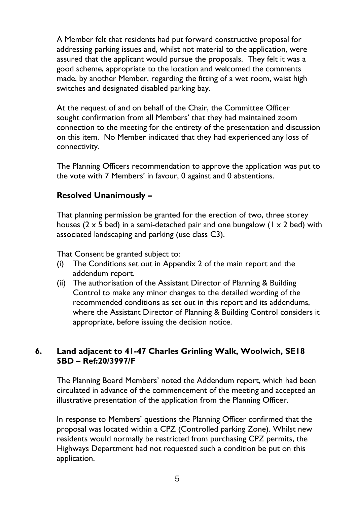A Member felt that residents had put forward constructive proposal for addressing parking issues and, whilst not material to the application, were assured that the applicant would pursue the proposals. They felt it was a good scheme, appropriate to the location and welcomed the comments made, by another Member, regarding the fitting of a wet room, waist high switches and designated disabled parking bay.

At the request of and on behalf of the Chair, the Committee Officer sought confirmation from all Members' that they had maintained zoom connection to the meeting for the entirety of the presentation and discussion on this item. No Member indicated that they had experienced any loss of connectivity.

The Planning Officers recommendation to approve the application was put to the vote with 7 Members' in favour, 0 against and 0 abstentions.

# **Resolved Unanimously –**

That planning permission be granted for the erection of two, three storey houses (2  $\times$  5 bed) in a semi-detached pair and one bungalow (1  $\times$  2 bed) with associated landscaping and parking (use class C3).

That Consent be granted subject to:

- (i) The Conditions set out in Appendix 2 of the main report and the addendum report.
- (ii) The authorisation of the Assistant Director of Planning & Building Control to make any minor changes to the detailed wording of the recommended conditions as set out in this report and its addendums, where the Assistant Director of Planning & Building Control considers it appropriate, before issuing the decision notice.

# **6. Land adjacent to 41-47 Charles Grinling Walk, Woolwich, SE18 5BD – Ref:20/3997/F**

The Planning Board Members' noted the Addendum report, which had been circulated in advance of the commencement of the meeting and accepted an illustrative presentation of the application from the Planning Officer.

In response to Members' questions the Planning Officer confirmed that the proposal was located within a CPZ (Controlled parking Zone). Whilst new residents would normally be restricted from purchasing CPZ permits, the Highways Department had not requested such a condition be put on this application.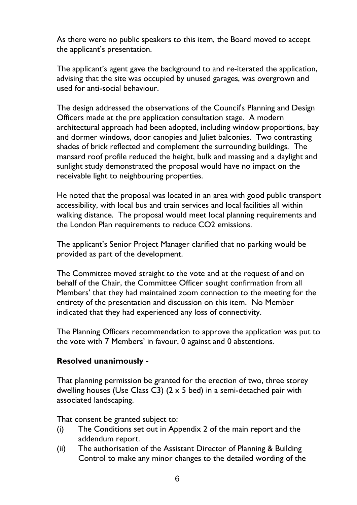As there were no public speakers to this item, the Board moved to accept the applicant's presentation.

The applicant's agent gave the background to and re-iterated the application, advising that the site was occupied by unused garages, was overgrown and used for anti-social behaviour.

The design addressed the observations of the Council's Planning and Design Officers made at the pre application consultation stage. A modern architectural approach had been adopted, including window proportions, bay and dormer windows, door canopies and Juliet balconies. Two contrasting shades of brick reflected and complement the surrounding buildings. The mansard roof profile reduced the height, bulk and massing and a daylight and sunlight study demonstrated the proposal would have no impact on the receivable light to neighbouring properties.

He noted that the proposal was located in an area with good public transport accessibility, with local bus and train services and local facilities all within walking distance. The proposal would meet local planning requirements and the London Plan requirements to reduce CO2 emissions.

The applicant's Senior Project Manager clarified that no parking would be provided as part of the development.

The Committee moved straight to the vote and at the request of and on behalf of the Chair, the Committee Officer sought confirmation from all Members' that they had maintained zoom connection to the meeting for the entirety of the presentation and discussion on this item. No Member indicated that they had experienced any loss of connectivity.

The Planning Officers recommendation to approve the application was put to the vote with 7 Members' in favour, 0 against and 0 abstentions.

#### **Resolved unanimously -**

That planning permission be granted for the erection of two, three storey dwelling houses (Use Class C3)  $(2 \times 5 \text{ bed})$  in a semi-detached pair with associated landscaping.

That consent be granted subject to:

- (i) The Conditions set out in Appendix 2 of the main report and the addendum report.
- (ii) The authorisation of the Assistant Director of Planning & Building Control to make any minor changes to the detailed wording of the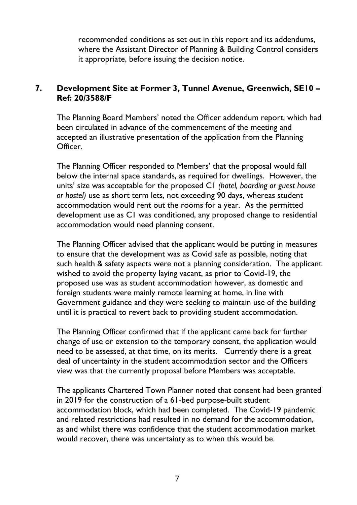recommended conditions as set out in this report and its addendums, where the Assistant Director of Planning & Building Control considers it appropriate, before issuing the decision notice.

# **7. Development Site at Former 3, Tunnel Avenue, Greenwich, SE10 – Ref: 20/3588/F**

The Planning Board Members' noted the Officer addendum report, which had been circulated in advance of the commencement of the meeting and accepted an illustrative presentation of the application from the Planning Officer.

The Planning Officer responded to Members' that the proposal would fall below the internal space standards, as required for dwellings. However, the units' size was acceptable for the proposed C1 *(hotel, boarding or guest house or hostel)* use as short term lets, not exceeding 90 days, whereas student accommodation would rent out the rooms for a year. As the permitted development use as C1 was conditioned, any proposed change to residential accommodation would need planning consent.

The Planning Officer advised that the applicant would be putting in measures to ensure that the development was as Covid safe as possible, noting that such health & safety aspects were not a planning consideration. The applicant wished to avoid the property laying vacant, as prior to Covid-19, the proposed use was as student accommodation however, as domestic and foreign students were mainly remote learning at home, in line with Government guidance and they were seeking to maintain use of the building until it is practical to revert back to providing student accommodation.

The Planning Officer confirmed that if the applicant came back for further change of use or extension to the temporary consent, the application would need to be assessed, at that time, on its merits. Currently there is a great deal of uncertainty in the student accommodation sector and the Officers view was that the currently proposal before Members was acceptable.

The applicants Chartered Town Planner noted that consent had been granted in 2019 for the construction of a 61-bed purpose-built student accommodation block, which had been completed. The Covid-19 pandemic and related restrictions had resulted in no demand for the accommodation, as and whilst there was confidence that the student accommodation market would recover, there was uncertainty as to when this would be.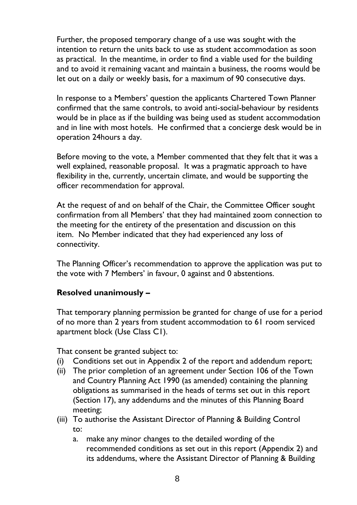Further, the proposed temporary change of a use was sought with the intention to return the units back to use as student accommodation as soon as practical. In the meantime, in order to find a viable used for the building and to avoid it remaining vacant and maintain a business, the rooms would be let out on a daily or weekly basis, for a maximum of 90 consecutive days.

In response to a Members' question the applicants Chartered Town Planner confirmed that the same controls, to avoid anti-social-behaviour by residents would be in place as if the building was being used as student accommodation and in line with most hotels. He confirmed that a concierge desk would be in operation 24hours a day.

Before moving to the vote, a Member commented that they felt that it was a well explained, reasonable proposal. It was a pragmatic approach to have flexibility in the, currently, uncertain climate, and would be supporting the officer recommendation for approval.

At the request of and on behalf of the Chair, the Committee Officer sought confirmation from all Members' that they had maintained zoom connection to the meeting for the entirety of the presentation and discussion on this item. No Member indicated that they had experienced any loss of connectivity.

The Planning Officer's recommendation to approve the application was put to the vote with 7 Members' in favour, 0 against and 0 abstentions.

# **Resolved unanimously –**

That temporary planning permission be granted for change of use for a period of no more than 2 years from student accommodation to 61 room serviced apartment block (Use Class C1).

That consent be granted subject to:

- (i) Conditions set out in Appendix 2 of the report and addendum report;
- (ii) The prior completion of an agreement under Section 106 of the Town and Country Planning Act 1990 (as amended) containing the planning obligations as summarised in the heads of terms set out in this report (Section 17), any addendums and the minutes of this Planning Board meeting;
- (iii) To authorise the Assistant Director of Planning & Building Control to:
	- a. make any minor changes to the detailed wording of the recommended conditions as set out in this report (Appendix 2) and its addendums, where the Assistant Director of Planning & Building